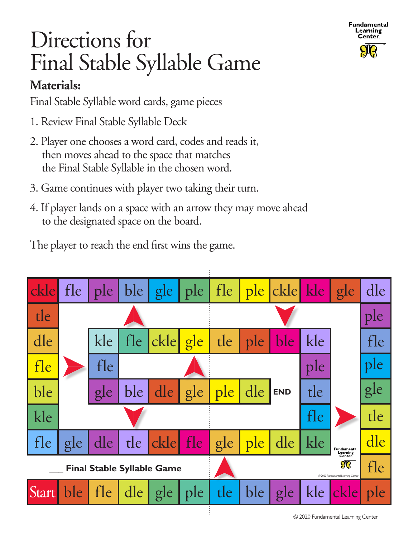

## Directions for Final Stable Syllable Game

## **Materials:**

Final Stable Syllable word cards, game pieces

- 1. Review Final Stable Syllable Deck
- 2. Player one chooses a word card, codes and reads it, then moves ahead to the space that matches the Final Stable Syllable in the chosen word.
- 3. Game continues with player two taking their turn.
- 4. If player lands on a space with an arrow they may move ahead to the designated space on the board.

The player to reach the end first wins the game.

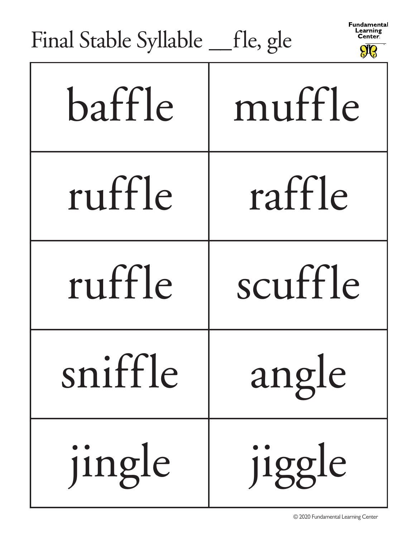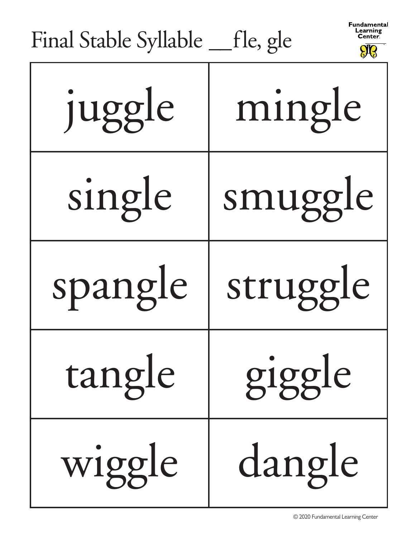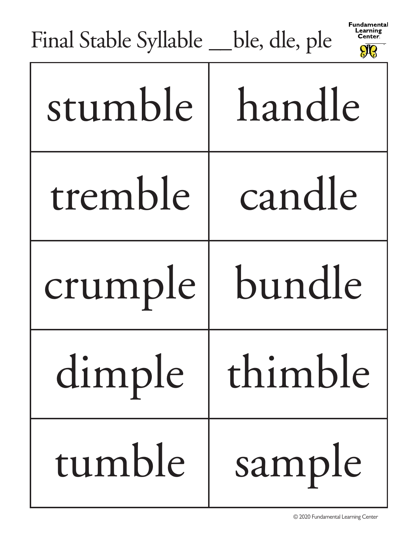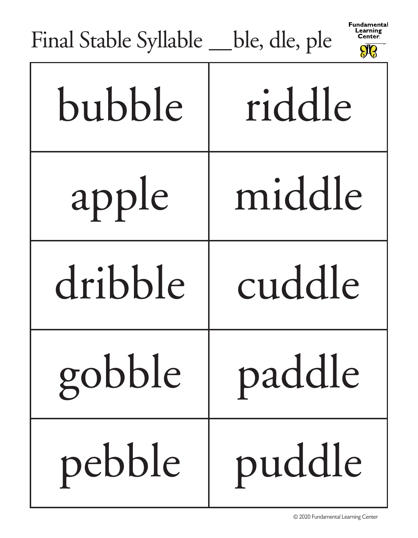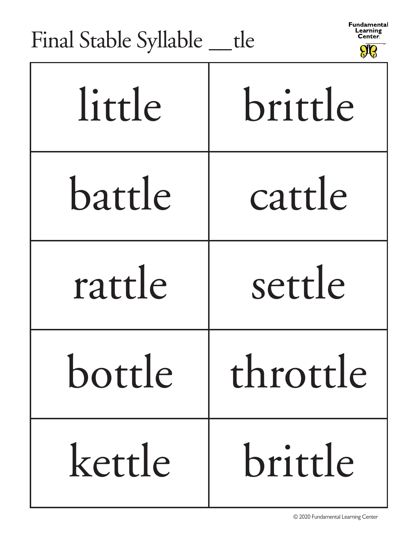Fundamental Learning<br>Center.

| THIAI OLADIC OYHADIC ___ UC |          |
|-----------------------------|----------|
| little                      | brittle  |
| battle                      | cattle   |
| rattle                      | settle   |
| bottle                      | throttle |
| kettle                      | brittle  |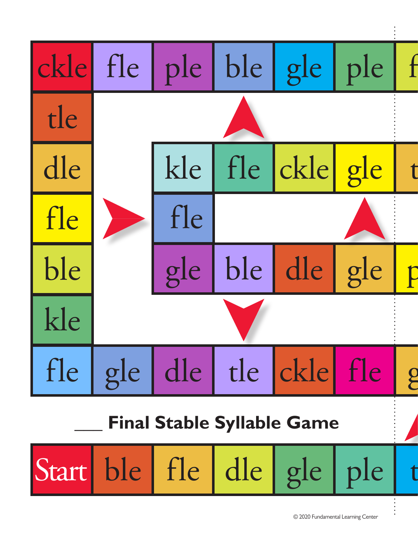